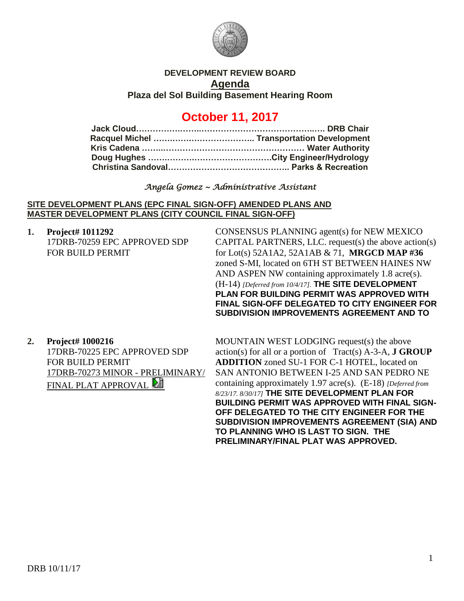

# **DEVELOPMENT REVIEW BOARD Agenda**

**Plaza del Sol Building Basement Hearing Room**

# **October 11, 2017**

## *Angela Gomez ~ Administrative Assistant*

#### **SITE DEVELOPMENT PLANS (EPC FINAL SIGN-OFF) AMENDED PLANS AND MASTER DEVELOPMENT PLANS (CITY COUNCIL FINAL SIGN-OFF)**

**1. Project# 1011292** 17DRB-70259 EPC APPROVED SDP FOR BUILD PERMIT

CONSENSUS PLANNING agent(s) for NEW MEXICO CAPITAL PARTNERS, LLC. request(s) the above action(s) for Lot(s) 52A1A2, 52A1AB & 71, **MRGCD MAP #36** zoned S-MI, located on 6TH ST BETWEEN HAINES NW AND ASPEN NW containing approximately 1.8 acre(s). (H-14) *[Deferred from 10/4/17].* **THE SITE DEVELOPMENT PLAN FOR BUILDING PERMIT WAS APPROVED WITH FINAL SIGN-OFF DELEGATED TO CITY ENGINEER FOR SUBDIVISION IMPROVEMENTS AGREEMENT AND TO**

# **2. Project# 1000216**

17DRB-70225 EPC APPROVED SDP FOR BUILD PERMIT 17DRB-70273 MINOR - PRELIMINARY/ FINAL PLAT APPROVAL

MOUNTAIN WEST LODGING request(s) the above action(s) for all or a portion of Tract(s) A-3-A, **J GROUP ADDITION** zoned SU-1 FOR C-1 HOTEL, located on SAN ANTONIO BETWEEN I-25 AND SAN PEDRO NE containing approximately 1.97 acre(s). (E-18) *[Deferred from 8/23/17. 8/30/17]* **THE SITE DEVELOPMENT PLAN FOR BUILDING PERMIT WAS APPROVED WITH FINAL SIGN-OFF DELEGATED TO THE CITY ENGINEER FOR THE SUBDIVISION IMPROVEMENTS AGREEMENT (SIA) AND TO PLANNING WHO IS LAST TO SIGN. THE PRELIMINARY/FINAL PLAT WAS APPROVED.**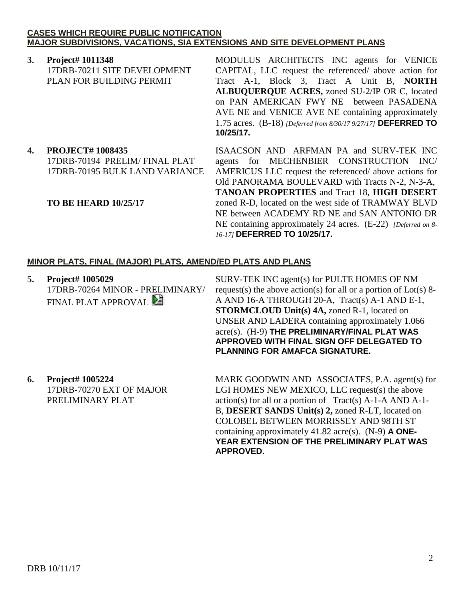#### **CASES WHICH REQUIRE PUBLIC NOTIFICATION MAJOR SUBDIVISIONS, VACATIONS, SIA EXTENSIONS AND SITE DEVELOPMENT PLANS**

**3. Project# 1011348** 17DRB-70211 SITE DEVELOPMENT PLAN FOR BUILDING PERMIT

MODULUS ARCHITECTS INC agents for VENICE CAPITAL, LLC request the referenced/ above action for Tract A-1, Block 3, Tract A Unit B, **NORTH ALBUQUERQUE ACRES,** zoned SU-2/IP OR C, located on PAN AMERICAN FWY NE between PASADENA AVE NE and VENICE AVE NE containing approximately 1.75 acres. (B-18) *[Deferred from 8/30/17 9/27/17]* **DEFERRED TO 10/25/17.**

**4. PROJECT# 1008435**

17DRB-70194 PRELIM/ FINAL PLAT 17DRB-70195 BULK LAND VARIANCE

### **TO BE HEARD 10/25/17**

ISAACSON AND ARFMAN PA and SURV-TEK INC agents for MECHENBIER CONSTRUCTION INC/ AMERICUS LLC request the referenced/ above actions for Old PANORAMA BOULEVARD with Tracts N-2, N-3-A, **TANOAN PROPERTIES** and Tract 18, **HIGH DESERT** zoned R-D, located on the west side of TRAMWAY BLVD NE between ACADEMY RD NE and SAN ANTONIO DR NE containing approximately 24 acres. (E-22) *[Deferred on 8- 16-17]* **DEFERRED TO 10/25/17.**

### **MINOR PLATS, FINAL (MAJOR) PLATS, AMEND/ED PLATS AND PLANS**

**5. Project# 1005029** 17DRB-70264 MINOR - PRELIMINARY/ FINAL PLAT APPROVAL

SURV-TEK INC agent(s) for PULTE HOMES OF NM request(s) the above action(s) for all or a portion of Lot(s) 8-A AND 16-A THROUGH 20-A, Tract(s) A-1 AND E-1, **STORMCLOUD Unit(s) 4A,** zoned R-1, located on UNSER AND LADERA containing approximately 1.066 acre(s). (H-9) **THE PRELIMINARY/FINAL PLAT WAS APPROVED WITH FINAL SIGN OFF DELEGATED TO PLANNING FOR AMAFCA SIGNATURE.**

**6. Project# 1005224** 17DRB-70270 EXT OF MAJOR PRELIMINARY PLAT

MARK GOODWIN AND ASSOCIATES, P.A. agent(s) for LGI HOMES NEW MEXICO, LLC request(s) the above action(s) for all or a portion of Tract(s) A-1-A AND A-1- B, **DESERT SANDS Unit(s) 2,** zoned R-LT, located on COLOBEL BETWEEN MORRISSEY AND 98TH ST containing approximately 41.82 acre(s). (N-9) **A ONE-YEAR EXTENSION OF THE PRELIMINARY PLAT WAS APPROVED.**